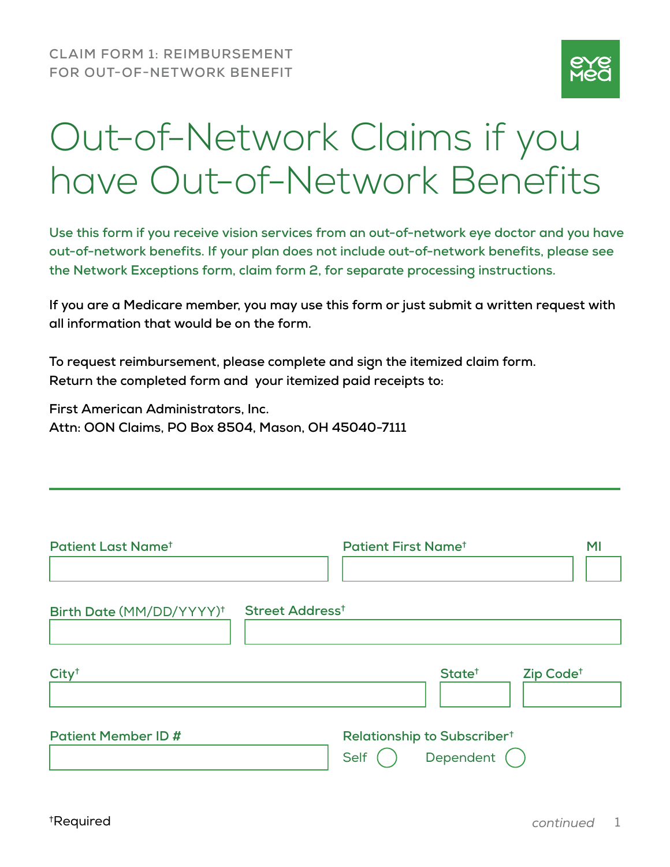

## Out-of-Network Claims if you have Out-of-Network Benefits

**Use this form if you receive vision services from an out-of-network eye doctor and you have out-of-network benefits. If your plan does not include out-of-network benefits, please see the Network Exceptions form, claim form 2, for separate processing instructions.**

**If you are a Medicare member, you may use this form or just submit a written request with all information that would be on the form.**

**To request reimbursement, please complete and sign the itemized claim form. Return the completed form and your itemized paid receipts to:**

**First American Administrators, Inc. Attn: OON Claims, PO Box 8504, Mason, OH 45040-7111**

| Patient Last Name <sup>t</sup>       | <b>Patient First Name<sup>t</sup></b> |                                                        | MI                    |
|--------------------------------------|---------------------------------------|--------------------------------------------------------|-----------------------|
|                                      |                                       |                                                        |                       |
| Birth Date (MM/DD/YYYY) <sup>†</sup> | Street Address <sup>t</sup>           |                                                        |                       |
| City <sup>†</sup>                    |                                       | State <sup>+</sup>                                     | Zip Code <sup>+</sup> |
| <b>Patient Member ID #</b>           | Self                                  | Relationship to Subscriber <sup>t</sup><br>Dependent ( |                       |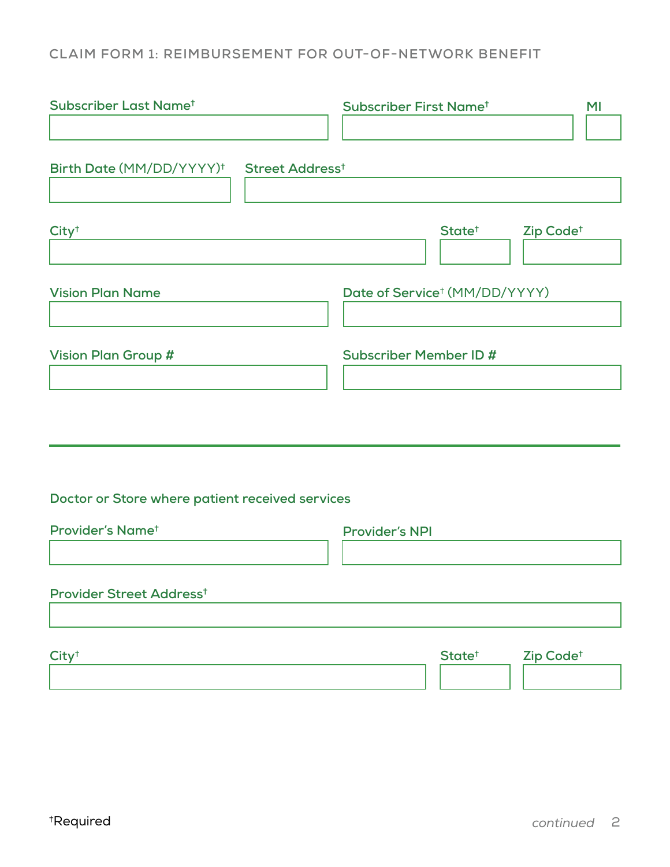## **CLAIM FORM 1: REIMBURSEMENT FOR OUT-OF-NETWORK BENEFIT**

| Subscriber Last Name <sup>t</sup>                                | Subscriber First Name <sup>t</sup><br>MI    |
|------------------------------------------------------------------|---------------------------------------------|
| Birth Date (MM/DD/YYYY) <sup>†</sup> Street Address <sup>†</sup> |                                             |
| City <sup>†</sup>                                                | State <sup>t</sup><br>Zip Code <sup>+</sup> |
| <b>Vision Plan Name</b>                                          | Date of Service <sup>†</sup> (MM/DD/YYYY)   |
| <b>Vision Plan Group #</b>                                       | <b>Subscriber Member ID#</b>                |
| Doctor or Store where patient received services                  |                                             |
| Provider's Name <sup>t</sup>                                     | <b>Provider's NPI</b>                       |
| Provider Street Address <sup>t</sup>                             |                                             |
| City <sup>†</sup>                                                | State <sup>t</sup><br>Zip Code <sup>+</sup> |